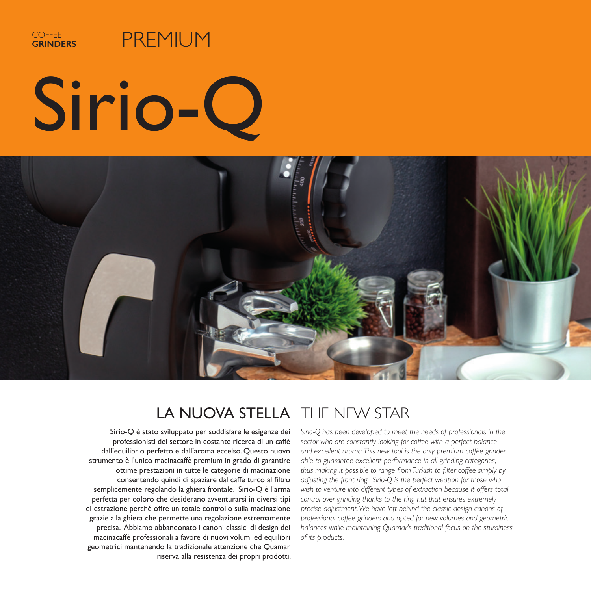

## PREMIUM

# Sirio-Q



### LA NUOVA STELLA THE NEW STAR

Sirio-Q è stato sviluppato per soddisfare le esigenze dei professionisti del settore in costante ricerca di un caffè dall'equilibrio perfetto e dall'aroma eccelso. Questo nuovo strumento è l'unico macinacaffè premium in grado di garantire ottime prestazioni in tutte le categorie di macinazione consentendo quindi di spaziare dal caffè turco al filtro semplicemente regolando la ghiera frontale. Sirio-Q è l'arma perfetta per coloro che desiderano avventurarsi in diversi tipi di estrazione perché offre un totale controllo sulla macinazione grazie alla ghiera che permette una regolazione estremamente precisa. Abbiamo abbandonato i canoni classici di design dei macinacaffè professionali a favore di nuovi volumi ed equilibri geometrici mantenendo la tradizionale attenzione che Quamar riserva alla resistenza dei propri prodotti.

*Sirio-Q has been developed to meet the needs of professionals in the sector who are constantly looking for coffee with a perfect balance and excellent aroma. This new tool is the only premium coffee grinder able to guarantee excellent performance in all grinding categories, thus making it possible to range from Turkish to filter coffee simply by adjusting the front ring. Sirio-Q is the perfect weapon for those who*  wish to venture into different types of extraction because it offers total *control over grinding thanks to the ring nut that ensures extremely precise adjustment. We have left behind the classic design canons of professional coffee grinders and opted for new volumes and geometric balances while maintaining Quamar's traditional focus on the sturdiness of its products.*